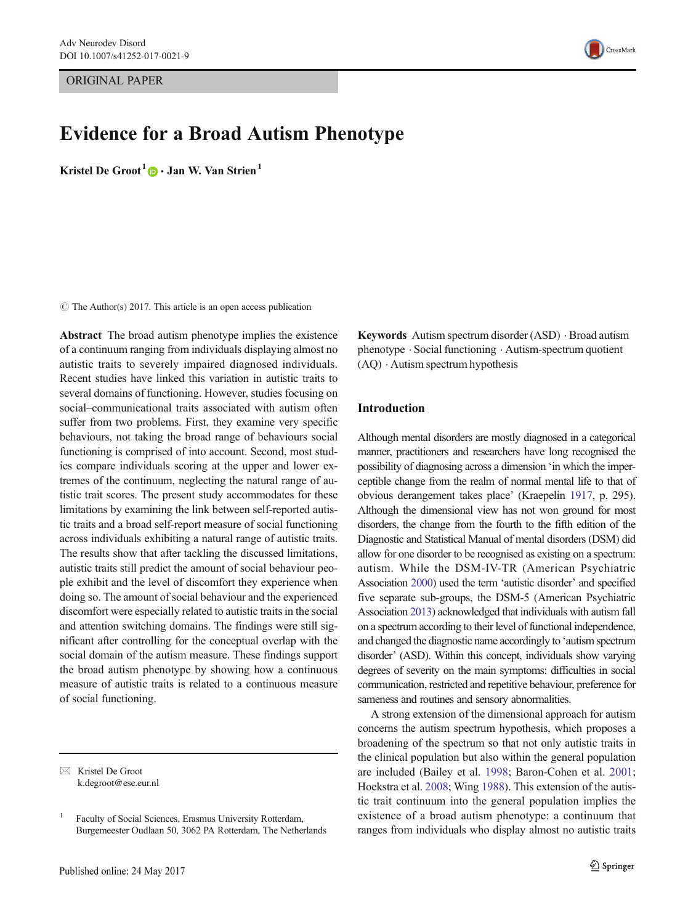ORIGINAL PAPER

# Evidence for a Broad Autism Phenotype

Kristel De Groot<sup>1</sup>  $\bullet$  · Jan W. Van Strien<sup>1</sup>

 $\circ$  The Author(s) 2017. This article is an open access publication

Abstract The broad autism phenotype implies the existence of a continuum ranging from individuals displaying almost no autistic traits to severely impaired diagnosed individuals. Recent studies have linked this variation in autistic traits to several domains of functioning. However, studies focusing on social–communicational traits associated with autism often suffer from two problems. First, they examine very specific behaviours, not taking the broad range of behaviours social functioning is comprised of into account. Second, most studies compare individuals scoring at the upper and lower extremes of the continuum, neglecting the natural range of autistic trait scores. The present study accommodates for these limitations by examining the link between self-reported autistic traits and a broad self-report measure of social functioning across individuals exhibiting a natural range of autistic traits. The results show that after tackling the discussed limitations, autistic traits still predict the amount of social behaviour people exhibit and the level of discomfort they experience when doing so. The amount of social behaviour and the experienced discomfort were especially related to autistic traits in the social and attention switching domains. The findings were still significant after controlling for the conceptual overlap with the social domain of the autism measure. These findings support the broad autism phenotype by showing how a continuous measure of autistic traits is related to a continuous measure of social functioning.

Keywords Autism spectrum disorder (ASD) . Broad autism phenotype . Social functioning . Autism-spectrum quotient (AQ) . Autism spectrum hypothesis

## Introduction

Although mental disorders are mostly diagnosed in a categorical manner, practitioners and researchers have long recognised the possibility of diagnosing across a dimension 'in which the imperceptible change from the realm of normal mental life to that of obvious derangement takes place' (Kraepelin [1917](#page-10-0), p. 295). Although the dimensional view has not won ground for most disorders, the change from the fourth to the fifth edition of the Diagnostic and Statistical Manual of mental disorders (DSM) did allow for one disorder to be recognised as existing on a spectrum: autism. While the DSM-IV-TR (American Psychiatric Association [2000](#page-9-0)) used the term 'autistic disorder' and specified five separate sub-groups, the DSM-5 (American Psychiatric Association [2013\)](#page-9-0) acknowledged that individuals with autism fall on a spectrum according to their level of functional independence, and changed the diagnostic name accordingly to 'autism spectrum disorder' (ASD). Within this concept, individuals show varying degrees of severity on the main symptoms: difficulties in social communication, restricted and repetitive behaviour, preference for sameness and routines and sensory abnormalities.

A strong extension of the dimensional approach for autism concerns the autism spectrum hypothesis, which proposes a broadening of the spectrum so that not only autistic traits in the clinical population but also within the general population are included (Bailey et al. [1998;](#page-10-0) Baron-Cohen et al. [2001;](#page-10-0) Hoekstra et al. [2008;](#page-10-0) Wing [1988\)](#page-11-0). This extension of the autistic trait continuum into the general population implies the existence of a broad autism phenotype: a continuum that ranges from individuals who display almost no autistic traits



 $\boxtimes$  Kristel De Groot k.degroot@ese.eur.nl

<sup>1</sup> Faculty of Social Sciences, Erasmus University Rotterdam, Burgemeester Oudlaan 50, 3062 PA Rotterdam, The Netherlands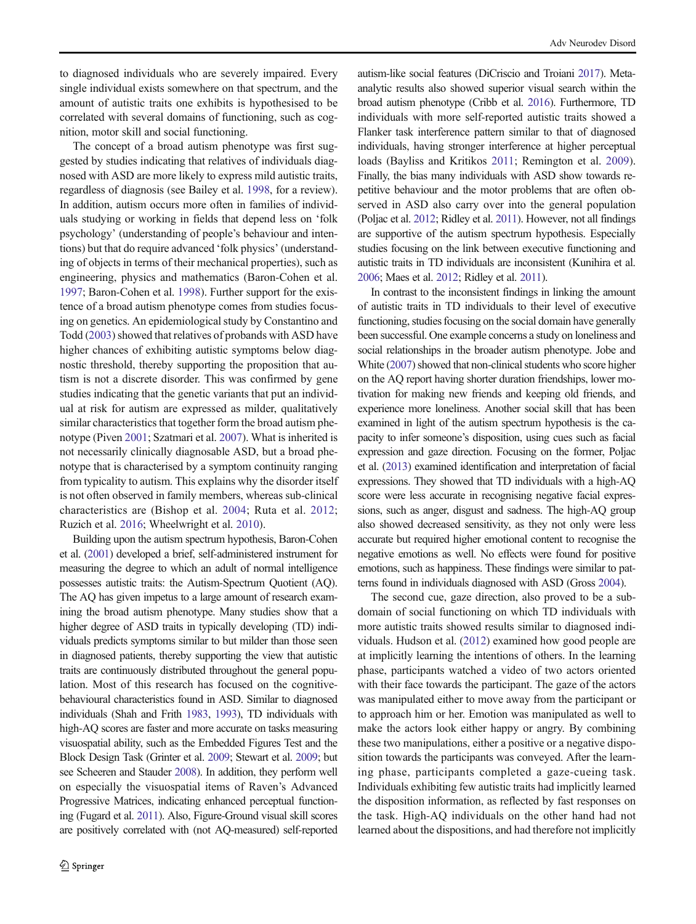to diagnosed individuals who are severely impaired. Every single individual exists somewhere on that spectrum, and the amount of autistic traits one exhibits is hypothesised to be correlated with several domains of functioning, such as cognition, motor skill and social functioning.

The concept of a broad autism phenotype was first suggested by studies indicating that relatives of individuals diagnosed with ASD are more likely to express mild autistic traits, regardless of diagnosis (see Bailey et al. [1998,](#page-10-0) for a review). In addition, autism occurs more often in families of individuals studying or working in fields that depend less on 'folk psychology' (understanding of people's behaviour and intentions) but that do require advanced 'folk physics' (understanding of objects in terms of their mechanical properties), such as engineering, physics and mathematics (Baron-Cohen et al. [1997;](#page-10-0) Baron-Cohen et al. [1998\)](#page-10-0). Further support for the existence of a broad autism phenotype comes from studies focusing on genetics. An epidemiological study by Constantino and Todd [\(2003\)](#page-10-0) showed that relatives of probands with ASD have higher chances of exhibiting autistic symptoms below diagnostic threshold, thereby supporting the proposition that autism is not a discrete disorder. This was confirmed by gene studies indicating that the genetic variants that put an individual at risk for autism are expressed as milder, qualitatively similar characteristics that together form the broad autism phenotype (Piven [2001](#page-10-0); Szatmari et al. [2007](#page-11-0)). What is inherited is not necessarily clinically diagnosable ASD, but a broad phenotype that is characterised by a symptom continuity ranging from typicality to autism. This explains why the disorder itself is not often observed in family members, whereas sub-clinical characteristics are (Bishop et al. [2004;](#page-10-0) Ruta et al. [2012](#page-10-0); Ruzich et al. [2016](#page-11-0); Wheelwright et al. [2010\)](#page-11-0).

Building upon the autism spectrum hypothesis, Baron-Cohen et al. [\(2001\)](#page-10-0) developed a brief, self-administered instrument for measuring the degree to which an adult of normal intelligence possesses autistic traits: the Autism-Spectrum Quotient (AQ). The AQ has given impetus to a large amount of research examining the broad autism phenotype. Many studies show that a higher degree of ASD traits in typically developing (TD) individuals predicts symptoms similar to but milder than those seen in diagnosed patients, thereby supporting the view that autistic traits are continuously distributed throughout the general population. Most of this research has focused on the cognitivebehavioural characteristics found in ASD. Similar to diagnosed individuals (Shah and Frith [1983](#page-11-0), [1993\)](#page-11-0), TD individuals with high-AQ scores are faster and more accurate on tasks measuring visuospatial ability, such as the Embedded Figures Test and the Block Design Task (Grinter et al. [2009;](#page-10-0) Stewart et al. [2009;](#page-11-0) but see Scheeren and Stauder [2008](#page-11-0)). In addition, they perform well on especially the visuospatial items of Raven's Advanced Progressive Matrices, indicating enhanced perceptual functioning (Fugard et al. [2011\)](#page-10-0). Also, Figure-Ground visual skill scores are positively correlated with (not AQ-measured) self-reported autism-like social features (DiCriscio and Troiani [2017\)](#page-10-0). Metaanalytic results also showed superior visual search within the broad autism phenotype (Cribb et al. [2016\)](#page-10-0). Furthermore, TD individuals with more self-reported autistic traits showed a Flanker task interference pattern similar to that of diagnosed individuals, having stronger interference at higher perceptual loads (Bayliss and Kritikos [2011](#page-10-0); Remington et al. [2009\)](#page-10-0). Finally, the bias many individuals with ASD show towards repetitive behaviour and the motor problems that are often observed in ASD also carry over into the general population (Poljac et al. [2012;](#page-10-0) Ridley et al. [2011\)](#page-10-0). However, not all findings are supportive of the autism spectrum hypothesis. Especially studies focusing on the link between executive functioning and autistic traits in TD individuals are inconsistent (Kunihira et al. [2006;](#page-10-0) Maes et al. [2012](#page-10-0); Ridley et al. [2011\)](#page-10-0).

In contrast to the inconsistent findings in linking the amount of autistic traits in TD individuals to their level of executive functioning, studies focusing on the social domain have generally been successful. One example concerns a study on loneliness and social relationships in the broader autism phenotype. Jobe and White ([2007](#page-10-0)) showed that non-clinical students who score higher on the AQ report having shorter duration friendships, lower motivation for making new friends and keeping old friends, and experience more loneliness. Another social skill that has been examined in light of the autism spectrum hypothesis is the capacity to infer someone's disposition, using cues such as facial expression and gaze direction. Focusing on the former, Poljac et al. [\(2013\)](#page-10-0) examined identification and interpretation of facial expressions. They showed that TD individuals with a high-AQ score were less accurate in recognising negative facial expressions, such as anger, disgust and sadness. The high-AQ group also showed decreased sensitivity, as they not only were less accurate but required higher emotional content to recognise the negative emotions as well. No effects were found for positive emotions, such as happiness. These findings were similar to patterns found in individuals diagnosed with ASD (Gross [2004\)](#page-10-0).

The second cue, gaze direction, also proved to be a subdomain of social functioning on which TD individuals with more autistic traits showed results similar to diagnosed individuals. Hudson et al. ([2012](#page-10-0)) examined how good people are at implicitly learning the intentions of others. In the learning phase, participants watched a video of two actors oriented with their face towards the participant. The gaze of the actors was manipulated either to move away from the participant or to approach him or her. Emotion was manipulated as well to make the actors look either happy or angry. By combining these two manipulations, either a positive or a negative disposition towards the participants was conveyed. After the learning phase, participants completed a gaze-cueing task. Individuals exhibiting few autistic traits had implicitly learned the disposition information, as reflected by fast responses on the task. High-AQ individuals on the other hand had not learned about the dispositions, and had therefore not implicitly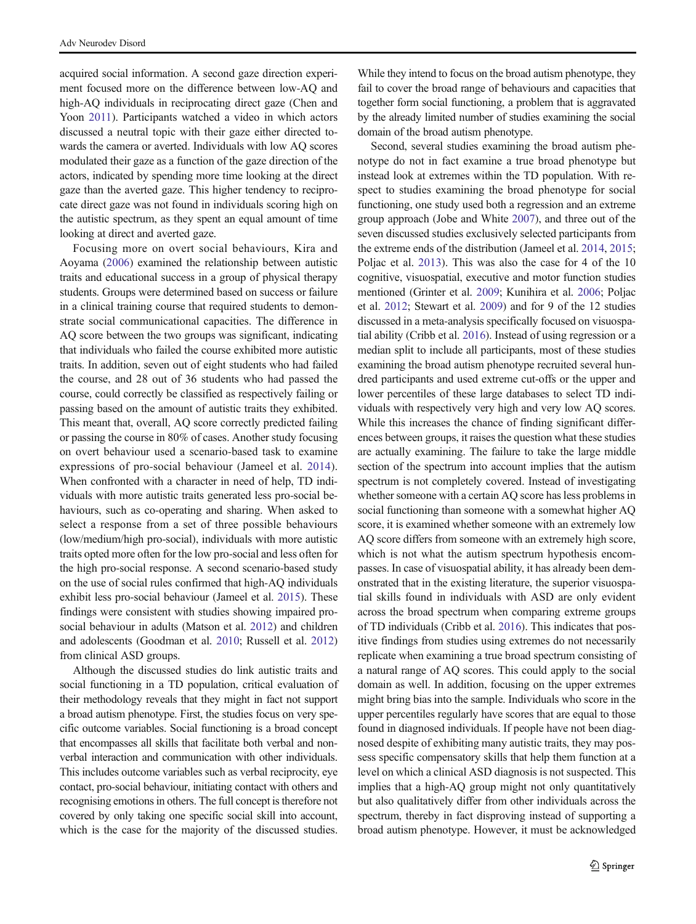acquired social information. A second gaze direction experiment focused more on the difference between low-AQ and high-AQ individuals in reciprocating direct gaze (Chen and Yoon [2011\)](#page-10-0). Participants watched a video in which actors discussed a neutral topic with their gaze either directed towards the camera or averted. Individuals with low AQ scores modulated their gaze as a function of the gaze direction of the actors, indicated by spending more time looking at the direct gaze than the averted gaze. This higher tendency to reciprocate direct gaze was not found in individuals scoring high on the autistic spectrum, as they spent an equal amount of time looking at direct and averted gaze.

Focusing more on overt social behaviours, Kira and Aoyama [\(2006\)](#page-10-0) examined the relationship between autistic traits and educational success in a group of physical therapy students. Groups were determined based on success or failure in a clinical training course that required students to demonstrate social communicational capacities. The difference in AQ score between the two groups was significant, indicating that individuals who failed the course exhibited more autistic traits. In addition, seven out of eight students who had failed the course, and 28 out of 36 students who had passed the course, could correctly be classified as respectively failing or passing based on the amount of autistic traits they exhibited. This meant that, overall, AQ score correctly predicted failing or passing the course in 80% of cases. Another study focusing on overt behaviour used a scenario-based task to examine expressions of pro-social behaviour (Jameel et al. [2014](#page-10-0)). When confronted with a character in need of help, TD individuals with more autistic traits generated less pro-social behaviours, such as co-operating and sharing. When asked to select a response from a set of three possible behaviours (low/medium/high pro-social), individuals with more autistic traits opted more often for the low pro-social and less often for the high pro-social response. A second scenario-based study on the use of social rules confirmed that high-AQ individuals exhibit less pro-social behaviour (Jameel et al. [2015](#page-10-0)). These findings were consistent with studies showing impaired prosocial behaviour in adults (Matson et al. [2012\)](#page-10-0) and children and adolescents (Goodman et al. [2010;](#page-10-0) Russell et al. [2012\)](#page-10-0) from clinical ASD groups.

Although the discussed studies do link autistic traits and social functioning in a TD population, critical evaluation of their methodology reveals that they might in fact not support a broad autism phenotype. First, the studies focus on very specific outcome variables. Social functioning is a broad concept that encompasses all skills that facilitate both verbal and nonverbal interaction and communication with other individuals. This includes outcome variables such as verbal reciprocity, eye contact, pro-social behaviour, initiating contact with others and recognising emotions in others. The full concept is therefore not covered by only taking one specific social skill into account, which is the case for the majority of the discussed studies.

While they intend to focus on the broad autism phenotype, they fail to cover the broad range of behaviours and capacities that together form social functioning, a problem that is aggravated by the already limited number of studies examining the social domain of the broad autism phenotype.

Second, several studies examining the broad autism phenotype do not in fact examine a true broad phenotype but instead look at extremes within the TD population. With respect to studies examining the broad phenotype for social functioning, one study used both a regression and an extreme group approach (Jobe and White [2007\)](#page-10-0), and three out of the seven discussed studies exclusively selected participants from the extreme ends of the distribution (Jameel et al. [2014](#page-10-0), [2015;](#page-10-0) Poljac et al. [2013\)](#page-10-0). This was also the case for 4 of the 10 cognitive, visuospatial, executive and motor function studies mentioned (Grinter et al. [2009](#page-10-0); Kunihira et al. [2006](#page-10-0); Poljac et al. [2012;](#page-10-0) Stewart et al. [2009](#page-11-0)) and for 9 of the 12 studies discussed in a meta-analysis specifically focused on visuospatial ability (Cribb et al. [2016\)](#page-10-0). Instead of using regression or a median split to include all participants, most of these studies examining the broad autism phenotype recruited several hundred participants and used extreme cut-offs or the upper and lower percentiles of these large databases to select TD individuals with respectively very high and very low AQ scores. While this increases the chance of finding significant differences between groups, it raises the question what these studies are actually examining. The failure to take the large middle section of the spectrum into account implies that the autism spectrum is not completely covered. Instead of investigating whether someone with a certain AQ score has less problems in social functioning than someone with a somewhat higher AQ score, it is examined whether someone with an extremely low AQ score differs from someone with an extremely high score, which is not what the autism spectrum hypothesis encompasses. In case of visuospatial ability, it has already been demonstrated that in the existing literature, the superior visuospatial skills found in individuals with ASD are only evident across the broad spectrum when comparing extreme groups of TD individuals (Cribb et al. [2016](#page-10-0)). This indicates that positive findings from studies using extremes do not necessarily replicate when examining a true broad spectrum consisting of a natural range of AQ scores. This could apply to the social domain as well. In addition, focusing on the upper extremes might bring bias into the sample. Individuals who score in the upper percentiles regularly have scores that are equal to those found in diagnosed individuals. If people have not been diagnosed despite of exhibiting many autistic traits, they may possess specific compensatory skills that help them function at a level on which a clinical ASD diagnosis is not suspected. This implies that a high-AQ group might not only quantitatively but also qualitatively differ from other individuals across the spectrum, thereby in fact disproving instead of supporting a broad autism phenotype. However, it must be acknowledged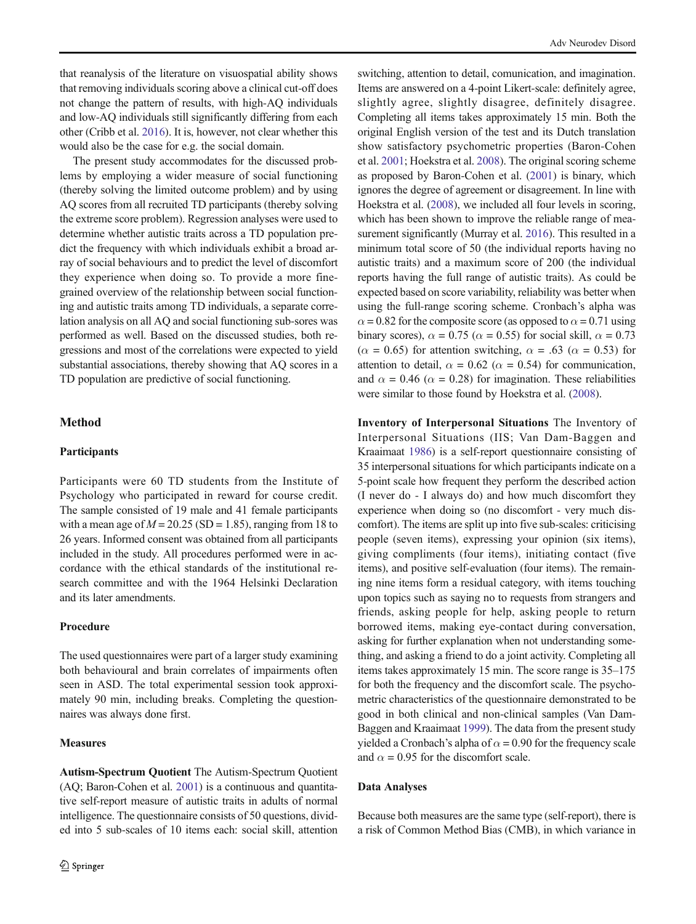that reanalysis of the literature on visuospatial ability shows that removing individuals scoring above a clinical cut-off does not change the pattern of results, with high-AQ individuals and low-AQ individuals still significantly differing from each other (Cribb et al. [2016](#page-10-0)). It is, however, not clear whether this would also be the case for e.g. the social domain.

The present study accommodates for the discussed problems by employing a wider measure of social functioning (thereby solving the limited outcome problem) and by using AQ scores from all recruited TD participants (thereby solving the extreme score problem). Regression analyses were used to determine whether autistic traits across a TD population predict the frequency with which individuals exhibit a broad array of social behaviours and to predict the level of discomfort they experience when doing so. To provide a more finegrained overview of the relationship between social functioning and autistic traits among TD individuals, a separate correlation analysis on all AQ and social functioning sub-sores was performed as well. Based on the discussed studies, both regressions and most of the correlations were expected to yield substantial associations, thereby showing that AQ scores in a TD population are predictive of social functioning.

# Method

## Participants

Participants were 60 TD students from the Institute of Psychology who participated in reward for course credit. The sample consisted of 19 male and 41 female participants with a mean age of  $M = 20.25$  (SD = 1.85), ranging from 18 to 26 years. Informed consent was obtained from all participants included in the study. All procedures performed were in accordance with the ethical standards of the institutional research committee and with the 1964 Helsinki Declaration and its later amendments.

## Procedure

The used questionnaires were part of a larger study examining both behavioural and brain correlates of impairments often seen in ASD. The total experimental session took approximately 90 min, including breaks. Completing the questionnaires was always done first.

## **Measures**

Autism-Spectrum Quotient The Autism-Spectrum Quotient (AQ; Baron-Cohen et al. [2001](#page-10-0)) is a continuous and quantitative self-report measure of autistic traits in adults of normal intelligence. The questionnaire consists of 50 questions, divided into 5 sub-scales of 10 items each: social skill, attention switching, attention to detail, comunication, and imagination. Items are answered on a 4-point Likert-scale: definitely agree, slightly agree, slightly disagree, definitely disagree. Completing all items takes approximately 15 min. Both the original English version of the test and its Dutch translation show satisfactory psychometric properties (Baron-Cohen et al. [2001](#page-10-0); Hoekstra et al. [2008\)](#page-10-0). The original scoring scheme as proposed by Baron-Cohen et al. ([2001](#page-10-0)) is binary, which ignores the degree of agreement or disagreement. In line with Hoekstra et al. ([2008](#page-10-0)), we included all four levels in scoring, which has been shown to improve the reliable range of measurement significantly (Murray et al. [2016\)](#page-10-0). This resulted in a minimum total score of 50 (the individual reports having no autistic traits) and a maximum score of 200 (the individual reports having the full range of autistic traits). As could be expected based on score variability, reliability was better when using the full-range scoring scheme. Cronbach's alpha was  $\alpha$  = 0.82 for the composite score (as opposed to  $\alpha$  = 0.71 using binary scores),  $\alpha = 0.75$  ( $\alpha = 0.55$ ) for social skill,  $\alpha = 0.73$  $(\alpha = 0.65)$  for attention switching,  $\alpha = .63$  ( $\alpha = 0.53$ ) for attention to detail,  $\alpha = 0.62$  ( $\alpha = 0.54$ ) for communication, and  $\alpha = 0.46$  ( $\alpha = 0.28$ ) for imagination. These reliabilities were similar to those found by Hoekstra et al. [\(2008\)](#page-10-0).

Inventory of Interpersonal Situations The Inventory of Interpersonal Situations (IIS; Van Dam-Baggen and Kraaimaat [1986](#page-11-0)) is a self-report questionnaire consisting of 35 interpersonal situations for which participants indicate on a 5-point scale how frequent they perform the described action (I never do - I always do) and how much discomfort they experience when doing so (no discomfort - very much discomfort). The items are split up into five sub-scales: criticising people (seven items), expressing your opinion (six items), giving compliments (four items), initiating contact (five items), and positive self-evaluation (four items). The remaining nine items form a residual category, with items touching upon topics such as saying no to requests from strangers and friends, asking people for help, asking people to return borrowed items, making eye-contact during conversation, asking for further explanation when not understanding something, and asking a friend to do a joint activity. Completing all items takes approximately 15 min. The score range is 35–175 for both the frequency and the discomfort scale. The psychometric characteristics of the questionnaire demonstrated to be good in both clinical and non-clinical samples (Van Dam-Baggen and Kraaimaat [1999\)](#page-11-0). The data from the present study yielded a Cronbach's alpha of  $\alpha$  = 0.90 for the frequency scale and  $\alpha = 0.95$  for the discomfort scale.

#### Data Analyses

Because both measures are the same type (self-report), there is a risk of Common Method Bias (CMB), in which variance in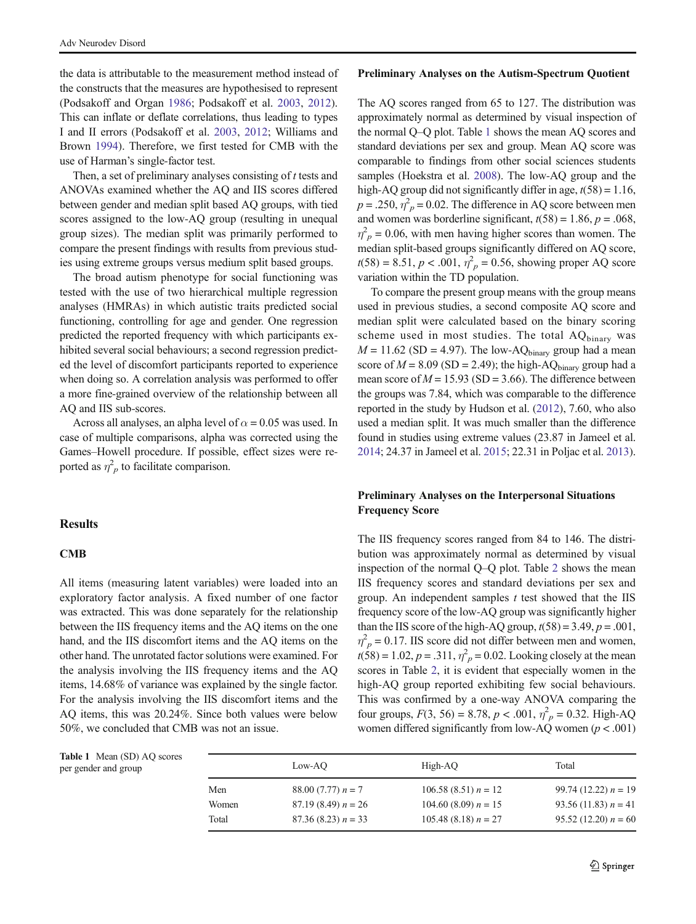the data is attributable to the measurement method instead of the constructs that the measures are hypothesised to represent (Podsakoff and Organ [1986;](#page-10-0) Podsakoff et al. [2003](#page-10-0), [2012](#page-10-0)). This can inflate or deflate correlations, thus leading to types I and II errors (Podsakoff et al. [2003](#page-10-0), [2012](#page-10-0); Williams and Brown [1994](#page-11-0)). Therefore, we first tested for CMB with the use of Harman's single-factor test.

Then, a set of preliminary analyses consisting of t tests and ANOVAs examined whether the AQ and IIS scores differed between gender and median split based AQ groups, with tied scores assigned to the low-AQ group (resulting in unequal group sizes). The median split was primarily performed to compare the present findings with results from previous studies using extreme groups versus medium split based groups.

The broad autism phenotype for social functioning was tested with the use of two hierarchical multiple regression analyses (HMRAs) in which autistic traits predicted social functioning, controlling for age and gender. One regression predicted the reported frequency with which participants exhibited several social behaviours; a second regression predicted the level of discomfort participants reported to experience when doing so. A correlation analysis was performed to offer a more fine-grained overview of the relationship between all AQ and IIS sub-scores.

Across all analyses, an alpha level of  $\alpha = 0.05$  was used. In case of multiple comparisons, alpha was corrected using the Games–Howell procedure. If possible, effect sizes were reported as  $\eta_p^2$  to facilitate comparison.

# **Results**

## CMB

All items (measuring latent variables) were loaded into an exploratory factor analysis. A fixed number of one factor was extracted. This was done separately for the relationship between the IIS frequency items and the AQ items on the one hand, and the IIS discomfort items and the AQ items on the other hand. The unrotated factor solutions were examined. For the analysis involving the IIS frequency items and the AQ items, 14.68% of variance was explained by the single factor. For the analysis involving the IIS discomfort items and the AQ items, this was 20.24%. Since both values were below 50%, we concluded that CMB was not an issue.

#### Preliminary Analyses on the Autism-Spectrum Quotient

The AQ scores ranged from 65 to 127. The distribution was approximately normal as determined by visual inspection of the normal Q–Q plot. Table 1 shows the mean AQ scores and standard deviations per sex and group. Mean AQ score was comparable to findings from other social sciences students samples (Hoekstra et al. [2008](#page-10-0)). The low-AQ group and the high-AQ group did not significantly differ in age,  $t(58) = 1.16$ ,  $p = .250$ ,  $\eta^2_{p} = 0.02$ . The difference in AQ score between men and women was borderline significant,  $t(58) = 1.86$ ,  $p = .068$ ,  $\eta_p^2$  = 0.06, with men having higher scores than women. The median split-based groups significantly differed on AQ score,  $t(58) = 8.51, p < .001, \eta_p^2 = 0.56$ , showing proper AQ score variation within the TD population.

To compare the present group means with the group means used in previous studies, a second composite AQ score and median split were calculated based on the binary scoring scheme used in most studies. The total  $AQ_{binary}$  was  $M = 11.62$  (SD = 4.97). The low-AQ<sub>binary</sub> group had a mean score of  $M = 8.09$  (SD = 2.49); the high-AQ<sub>binary</sub> group had a mean score of  $M = 15.93$  (SD = 3.66). The difference between the groups was 7.84, which was comparable to the difference reported in the study by Hudson et al. [\(2012\)](#page-10-0), 7.60, who also used a median split. It was much smaller than the difference found in studies using extreme values (23.87 in Jameel et al. [2014;](#page-10-0) 24.37 in Jameel et al. [2015;](#page-10-0) 22.31 in Poljac et al. [2013\)](#page-10-0).

# Preliminary Analyses on the Interpersonal Situations Frequency Score

The IIS frequency scores ranged from 84 to 146. The distribution was approximately normal as determined by visual inspection of the normal Q–Q plot. Table [2](#page-5-0) shows the mean IIS frequency scores and standard deviations per sex and group. An independent samples  $t$  test showed that the IIS frequency score of the low-AQ group was significantly higher than the IIS score of the high-AQ group,  $t(58) = 3.49$ ,  $p = .001$ ,  $\eta_p^2$  = 0.17. IIS score did not differ between men and women,  $t(58) = 1.02, p = .311, \eta_p^2 = 0.02$ . Looking closely at the mean scores in Table [2](#page-5-0), it is evident that especially women in the high-AQ group reported exhibiting few social behaviours. This was confirmed by a one-way ANOVA comparing the four groups,  $F(3, 56) = 8.78$ ,  $p < .001$ ,  $\eta_p^2 = 0.32$ . High-AQ women differed significantly from low-AQ women ( $p < .001$ )

| <b>Table 1</b> Mean (SD) AQ scores<br>per gender and group |       | Low-AO               | High-AO                | Total                  |
|------------------------------------------------------------|-------|----------------------|------------------------|------------------------|
|                                                            | Men   | 88.00 $(7.77) n = 7$ | $106.58(8.51) n = 12$  | $99.74(12.22) n = 19$  |
|                                                            | Women | $87.19(8.49) n = 26$ | 104.60 (8.09) $n = 15$ | 93.56 (11.83) $n = 41$ |
|                                                            | Total | $87.36(8.23) n = 33$ | 105.48 (8.18) $n = 27$ | $95.52(12.20) n = 60$  |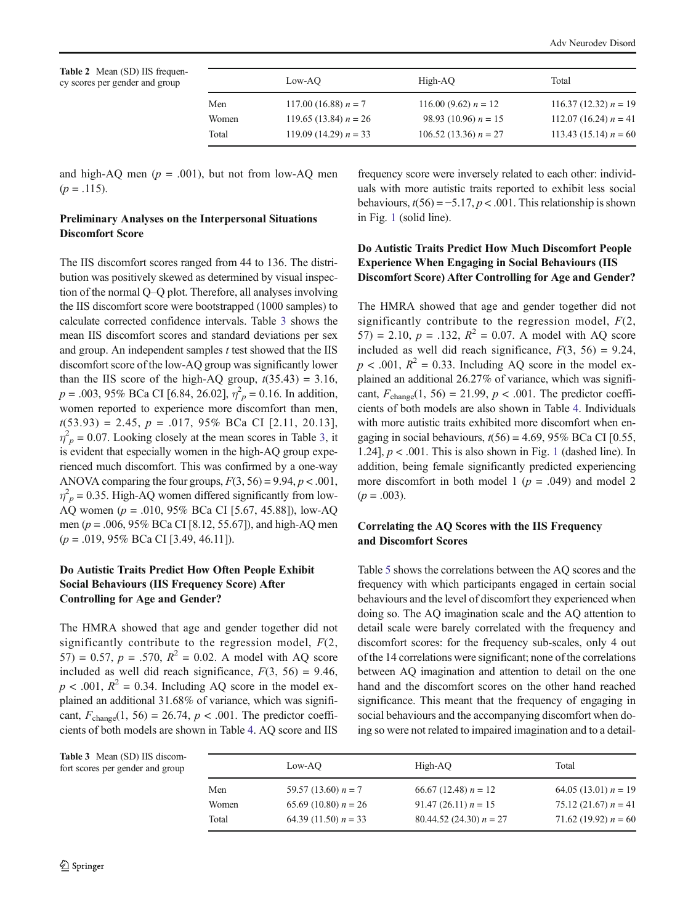<span id="page-5-0"></span>Table 2 Mean (SD) IIS frequency scores per gender and group

|       | Low-AO                  | High-AQ                 | Total                   |
|-------|-------------------------|-------------------------|-------------------------|
| Men   | 117.00 (16.88) $n = 7$  | 116.00 (9.62) $n = 12$  | 116.37 (12.32) $n = 19$ |
| Women | 119.65 (13.84) $n = 26$ | 98.93 (10.96) $n = 15$  | 112.07 (16.24) $n = 41$ |
| Total | 119.09 (14.29) $n = 33$ | 106.52 (13.36) $n = 27$ | 113.43 (15.14) $n = 60$ |

and high-AQ men ( $p = .001$ ), but not from low-AQ men  $(p=.115).$ 

## Preliminary Analyses on the Interpersonal Situations Discomfort Score

The IIS discomfort scores ranged from 44 to 136. The distribution was positively skewed as determined by visual inspection of the normal Q–Q plot. Therefore, all analyses involving the IIS discomfort score were bootstrapped (1000 samples) to calculate corrected confidence intervals. Table 3 shows the mean IIS discomfort scores and standard deviations per sex and group. An independent samples  $t$  test showed that the IIS discomfort score of the low-AQ group was significantly lower than the IIS score of the high-AQ group,  $t(35.43) = 3.16$ ,  $p = .003, 95\%$  BCa CI [6.84, 26.02],  $\eta_p^2 = 0.16$ . In addition, women reported to experience more discomfort than men,  $t(53.93) = 2.45$ ,  $p = .017$ , 95% BCa CI [2.11, 20.13],  $\eta_p^2$  = 0.07. Looking closely at the mean scores in Table 3, it is evident that especially women in the high-AQ group experienced much discomfort. This was confirmed by a one-way ANOVA comparing the four groups,  $F(3, 56) = 9.94$ ,  $p < .001$ ,  $\eta_p^2$  = 0.35. High-AQ women differed significantly from low-AQ women (p = .010, 95% BCa CI [5.67, 45.88]), low-AQ men ( $p = .006$ , 95% BCa CI [8.12, 55.67]), and high-AQ men  $(p = .019, 95\% \text{ BCa CI} [3.49, 46.11]).$ 

# Do Autistic Traits Predict How Often People Exhibit Social Behaviours (IIS Frequency Score) After Controlling for Age and Gender?

The HMRA showed that age and gender together did not significantly contribute to the regression model,  $F(2)$ , 57) = 0.57,  $p = .570$ ,  $R^2 = 0.02$ . A model with AQ score included as well did reach significance,  $F(3, 56) = 9.46$ ,  $p < .001$ ,  $R^2 = 0.34$ . Including AQ score in the model explained an additional 31.68% of variance, which was significant,  $F_{change}(1, 56) = 26.74$ ,  $p < .001$ . The predictor coefficients of both models are shown in Table [4.](#page-6-0) AQ score and IIS frequency score were inversely related to each other: individuals with more autistic traits reported to exhibit less social behaviours,  $t(56) = -5.17$ ,  $p < .001$ . This relationship is shown in Fig. [1](#page-6-0) (solid line).

# Do Autistic Traits Predict How Much Discomfort People Experience When Engaging in Social Behaviours (IIS Discomfort Score) After Controlling for Age and Gender?

The HMRA showed that age and gender together did not significantly contribute to the regression model,  $F(2, 1)$ 57) = 2.10,  $p = .132$ ,  $R^2 = 0.07$ . A model with AQ score included as well did reach significance,  $F(3, 56) = 9.24$ ,  $p < .001$ ,  $R^2 = 0.33$ . Including AQ score in the model explained an additional 26.27% of variance, which was significant,  $F_{change}(1, 56) = 21.99$ ,  $p < .001$ . The predictor coefficients of both models are also shown in Table [4](#page-6-0). Individuals with more autistic traits exhibited more discomfort when engaging in social behaviours,  $t(56) = 4.69$ , 95% BCa CI [0.55, [1](#page-6-0).24],  $p < .001$ . This is also shown in Fig. 1 (dashed line). In addition, being female significantly predicted experiencing more discomfort in both model 1 ( $p = .049$ ) and model 2  $(p=.003)$ .

# Correlating the AQ Scores with the IIS Frequency and Discomfort Scores

Table [5](#page-7-0) shows the correlations between the AQ scores and the frequency with which participants engaged in certain social behaviours and the level of discomfort they experienced when doing so. The AQ imagination scale and the AQ attention to detail scale were barely correlated with the frequency and discomfort scores: for the frequency sub-scales, only 4 out of the 14 correlations were significant; none of the correlations between AQ imagination and attention to detail on the one hand and the discomfort scores on the other hand reached significance. This meant that the frequency of engaging in social behaviours and the accompanying discomfort when doing so were not related to impaired imagination and to a detail-

Table 3 Mean (SD) IIS discomfort scores per gender and group

|       | Low-AO                 | High-AO                   | Total                  |
|-------|------------------------|---------------------------|------------------------|
| Men   | 59.57 (13.60) $n = 7$  | 66.67 (12.48) $n = 12$    | 64.05 (13.01) $n = 19$ |
| Women | 65.69 (10.80) $n = 26$ | $91.47(26.11) n = 15$     | 75.12 (21.67) $n = 41$ |
| Total | 64.39 (11.50) $n = 33$ | 80.44.52 (24.30) $n = 27$ | 71.62 (19.92) $n = 60$ |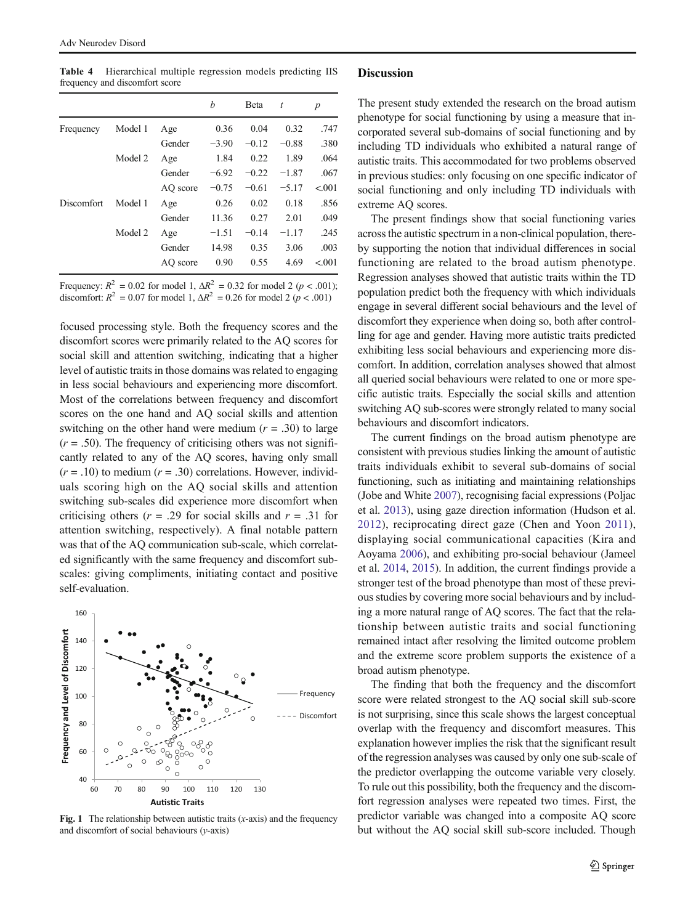<span id="page-6-0"></span>Table 4 Hierarchical multiple regression models predicting IIS frequency and discomfort score

|            |         |          | h       | Beta    | t       | $\boldsymbol{p}$ |
|------------|---------|----------|---------|---------|---------|------------------|
| Frequency  | Model 1 | Age      | 0.36    | 0.04    | 0.32    | .747             |
|            |         | Gender   | $-3.90$ | $-0.12$ | $-0.88$ | .380             |
|            | Model 2 | Age      | 1.84    | 0.22    | 1.89    | .064             |
|            |         | Gender   | $-6.92$ | $-0.22$ | $-1.87$ | .067             |
|            |         | AO score | $-0.75$ | $-0.61$ | $-5.17$ | < 0.001          |
| Discomfort | Model 1 | Age      | 0.26    | 0.02    | 0.18    | .856             |
|            |         | Gender   | 11.36   | 0.27    | 2.01    | .049             |
|            | Model 2 | Age      | $-1.51$ | $-0.14$ | $-1.17$ | .245             |
|            |         | Gender   | 14.98   | 0.35    | 3.06    | .003             |
|            |         | AO score | 0.90    | 0.55    | 4.69    | < 0.001          |

Frequency:  $R^2 = 0.02$  for model 1,  $\Delta R^2 = 0.32$  for model 2 (p < .001); discomfort:  $R^2 = 0.07$  for model 1,  $\Delta R^2 = 0.26$  for model 2 ( $p < .001$ )

focused processing style. Both the frequency scores and the discomfort scores were primarily related to the AQ scores for social skill and attention switching, indicating that a higher level of autistic traits in those domains was related to engaging in less social behaviours and experiencing more discomfort. Most of the correlations between frequency and discomfort scores on the one hand and AQ social skills and attention switching on the other hand were medium  $(r = .30)$  to large  $(r = .50)$ . The frequency of criticising others was not significantly related to any of the AQ scores, having only small  $(r = .10)$  to medium  $(r = .30)$  correlations. However, individuals scoring high on the AQ social skills and attention switching sub-scales did experience more discomfort when criticising others ( $r = .29$  for social skills and  $r = .31$  for attention switching, respectively). A final notable pattern was that of the AQ communication sub-scale, which correlated significantly with the same frequency and discomfort subscales: giving compliments, initiating contact and positive self-evaluation.



Fig. 1 The relationship between autistic traits  $(x-axis)$  and the frequency and discomfort of social behaviours  $(y-axis)$ 

## **Discussion**

The present study extended the research on the broad autism phenotype for social functioning by using a measure that incorporated several sub-domains of social functioning and by including TD individuals who exhibited a natural range of autistic traits. This accommodated for two problems observed in previous studies: only focusing on one specific indicator of social functioning and only including TD individuals with extreme AQ scores.

The present findings show that social functioning varies across the autistic spectrum in a non-clinical population, thereby supporting the notion that individual differences in social functioning are related to the broad autism phenotype. Regression analyses showed that autistic traits within the TD population predict both the frequency with which individuals engage in several different social behaviours and the level of discomfort they experience when doing so, both after controlling for age and gender. Having more autistic traits predicted exhibiting less social behaviours and experiencing more discomfort. In addition, correlation analyses showed that almost all queried social behaviours were related to one or more specific autistic traits. Especially the social skills and attention switching AQ sub-scores were strongly related to many social behaviours and discomfort indicators.

The current findings on the broad autism phenotype are consistent with previous studies linking the amount of autistic traits individuals exhibit to several sub-domains of social functioning, such as initiating and maintaining relationships (Jobe and White [2007](#page-10-0)), recognising facial expressions (Poljac et al. [2013](#page-10-0)), using gaze direction information (Hudson et al. [2012\)](#page-10-0), reciprocating direct gaze (Chen and Yoon [2011](#page-10-0)), displaying social communicational capacities (Kira and Aoyama [2006\)](#page-10-0), and exhibiting pro-social behaviour (Jameel et al. [2014,](#page-10-0) [2015](#page-10-0)). In addition, the current findings provide a stronger test of the broad phenotype than most of these previous studies by covering more social behaviours and by including a more natural range of AQ scores. The fact that the relationship between autistic traits and social functioning remained intact after resolving the limited outcome problem and the extreme score problem supports the existence of a broad autism phenotype.

The finding that both the frequency and the discomfort score were related strongest to the AQ social skill sub-score is not surprising, since this scale shows the largest conceptual overlap with the frequency and discomfort measures. This explanation however implies the risk that the significant result of the regression analyses was caused by only one sub-scale of the predictor overlapping the outcome variable very closely. To rule out this possibility, both the frequency and the discomfort regression analyses were repeated two times. First, the predictor variable was changed into a composite AQ score but without the AQ social skill sub-score included. Though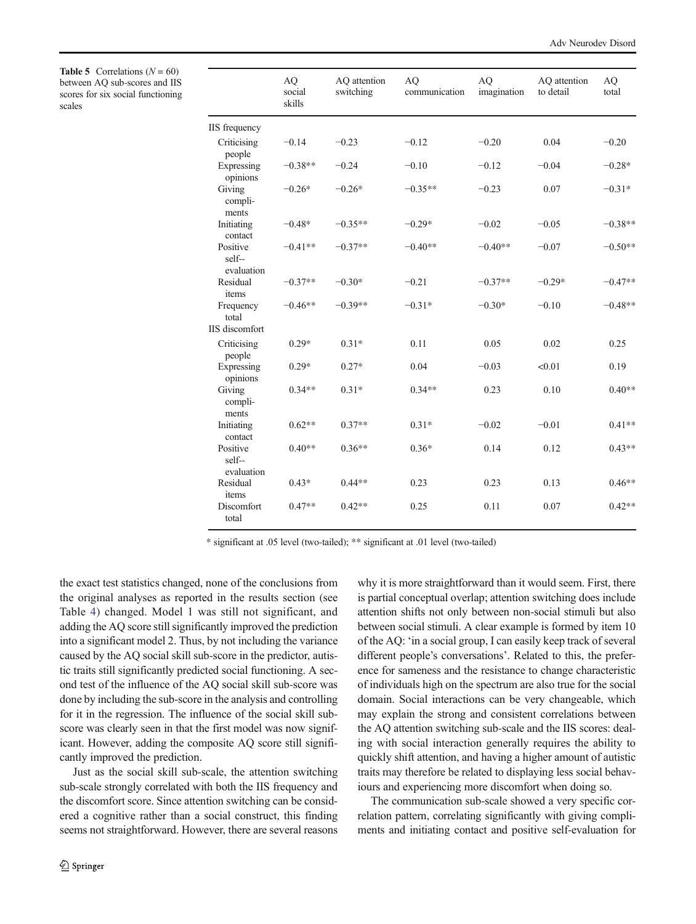Adv Neurodev Disord

<span id="page-7-0"></span>**Table 5** Correlations  $(N = 60)$ between AQ sub-scores and IIS scores for six social functioning scales

|                                  | AQ<br>social<br>skills | AQ attention<br>switching | AQ<br>communication | <b>AQ</b><br>imagination | AQ attention<br>to detail | <b>AQ</b><br>total |
|----------------------------------|------------------------|---------------------------|---------------------|--------------------------|---------------------------|--------------------|
| IIS frequency                    |                        |                           |                     |                          |                           |                    |
| Criticising<br>people            | $-0.14$                | $-0.23$                   | $-0.12$             | $-0.20$                  | 0.04                      | $-0.20$            |
| Expressing<br>opinions           | $-0.38**$              | $-0.24$                   | $-0.10$             | $-0.12$                  | $-0.04$                   | $-0.28*$           |
| Giving<br>compli-<br>ments       | $-0.26*$               | $-0.26*$                  | $-0.35**$           | $-0.23$                  | 0.07                      | $-0.31*$           |
| Initiating<br>contact            | $-0.48*$               | $-0.35**$                 | $-0.29*$            | $-0.02$                  | $-0.05$                   | $-0.38**$          |
| Positive<br>self--<br>evaluation | $-0.41**$              | $-0.37**$                 | $-0.40**$           | $-0.40**$                | $-0.07$                   | $-0.50**$          |
| Residual<br>items                | $-0.37**$              | $-0.30*$                  | $-0.21$             | $-0.37**$                | $-0.29*$                  | $-0.47**$          |
| Frequency<br>total               | $-0.46**$              | $-0.39**$                 | $-0.31*$            | $-0.30*$                 | $-0.10$                   | $-0.48**$          |
| <b>IIS</b> discomfort            |                        |                           |                     |                          |                           |                    |
| Criticising<br>people            | $0.29*$                | $0.31*$                   | 0.11                | 0.05                     | 0.02                      | 0.25               |
| Expressing<br>opinions           | $0.29*$                | $0.27*$                   | 0.04                | $-0.03$                  | < 0.01                    | 0.19               |
| Giving<br>compli-<br>ments       | $0.34**$               | $0.31*$                   | $0.34**$            | 0.23                     | 0.10                      | $0.40**$           |
| Initiating<br>contact            | $0.62**$               | $0.37**$                  | $0.31*$             | $-0.02$                  | $-0.01$                   | $0.41**$           |
| Positive<br>self--<br>evaluation | $0.40**$               | $0.36**$                  | $0.36*$             | 0.14                     | 0.12                      | $0.43**$           |
| Residual<br>items                | $0.43*$                | $0.44**$                  | 0.23                | 0.23                     | 0.13                      | $0.46**$           |
| Discomfort<br>total              | $0.47**$               | $0.42**$                  | 0.25                | 0.11                     | 0.07                      | $0.42**$           |

\* significant at .05 level (two-tailed); \*\* significant at .01 level (two-tailed)

the exact test statistics changed, none of the conclusions from the original analyses as reported in the results section (see Table [4](#page-6-0)) changed. Model 1 was still not significant, and adding the AQ score still significantly improved the prediction into a significant model 2. Thus, by not including the variance caused by the AQ social skill sub-score in the predictor, autistic traits still significantly predicted social functioning. A second test of the influence of the AQ social skill sub-score was done by including the sub-score in the analysis and controlling for it in the regression. The influence of the social skill subscore was clearly seen in that the first model was now significant. However, adding the composite AQ score still significantly improved the prediction.

Just as the social skill sub-scale, the attention switching sub-scale strongly correlated with both the IIS frequency and the discomfort score. Since attention switching can be considered a cognitive rather than a social construct, this finding seems not straightforward. However, there are several reasons

2 Springer

why it is more straightforward than it would seem. First, there is partial conceptual overlap; attention switching does include attention shifts not only between non-social stimuli but also between social stimuli. A clear example is formed by item 10 of the AQ: 'in a social group, I can easily keep track of several different people's conversations'. Related to this, the preference for sameness and the resistance to change characteristic of individuals high on the spectrum are also true for the social domain. Social interactions can be very changeable, which may explain the strong and consistent correlations between the AQ attention switching sub-scale and the IIS scores: dealing with social interaction generally requires the ability to quickly shift attention, and having a higher amount of autistic traits may therefore be related to displaying less social behaviours and experiencing more discomfort when doing so.

The communication sub-scale showed a very specific correlation pattern, correlating significantly with giving compliments and initiating contact and positive self-evaluation for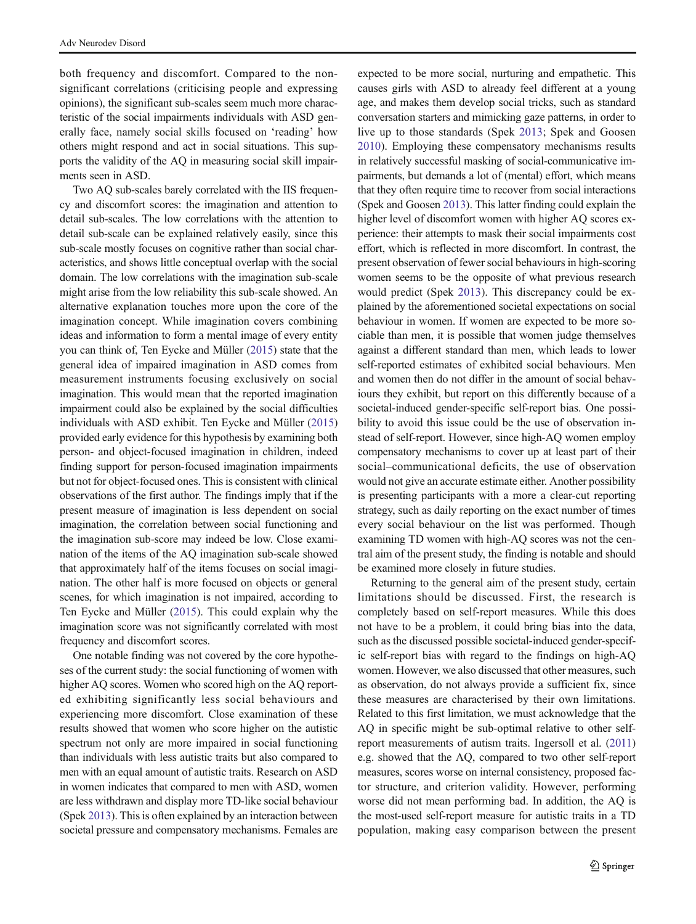both frequency and discomfort. Compared to the nonsignificant correlations (criticising people and expressing opinions), the significant sub-scales seem much more characteristic of the social impairments individuals with ASD generally face, namely social skills focused on 'reading' how others might respond and act in social situations. This supports the validity of the AQ in measuring social skill impairments seen in ASD.

Two AQ sub-scales barely correlated with the IIS frequency and discomfort scores: the imagination and attention to detail sub-scales. The low correlations with the attention to detail sub-scale can be explained relatively easily, since this sub-scale mostly focuses on cognitive rather than social characteristics, and shows little conceptual overlap with the social domain. The low correlations with the imagination sub-scale might arise from the low reliability this sub-scale showed. An alternative explanation touches more upon the core of the imagination concept. While imagination covers combining ideas and information to form a mental image of every entity you can think of, Ten Eycke and Müller [\(2015\)](#page-11-0) state that the general idea of impaired imagination in ASD comes from measurement instruments focusing exclusively on social imagination. This would mean that the reported imagination impairment could also be explained by the social difficulties individuals with ASD exhibit. Ten Eycke and Müller [\(2015\)](#page-11-0) provided early evidence for this hypothesis by examining both person- and object-focused imagination in children, indeed finding support for person-focused imagination impairments but not for object-focused ones. This is consistent with clinical observations of the first author. The findings imply that if the present measure of imagination is less dependent on social imagination, the correlation between social functioning and the imagination sub-score may indeed be low. Close examination of the items of the AQ imagination sub-scale showed that approximately half of the items focuses on social imagination. The other half is more focused on objects or general scenes, for which imagination is not impaired, according to Ten Eycke and Müller ([2015](#page-11-0)). This could explain why the imagination score was not significantly correlated with most frequency and discomfort scores.

One notable finding was not covered by the core hypotheses of the current study: the social functioning of women with higher AQ scores. Women who scored high on the AQ reported exhibiting significantly less social behaviours and experiencing more discomfort. Close examination of these results showed that women who score higher on the autistic spectrum not only are more impaired in social functioning than individuals with less autistic traits but also compared to men with an equal amount of autistic traits. Research on ASD in women indicates that compared to men with ASD, women are less withdrawn and display more TD-like social behaviour (Spek [2013](#page-11-0)). This is often explained by an interaction between societal pressure and compensatory mechanisms. Females are expected to be more social, nurturing and empathetic. This causes girls with ASD to already feel different at a young age, and makes them develop social tricks, such as standard conversation starters and mimicking gaze patterns, in order to live up to those standards (Spek [2013;](#page-11-0) Spek and Goosen [2010](#page-11-0)). Employing these compensatory mechanisms results in relatively successful masking of social-communicative impairments, but demands a lot of (mental) effort, which means that they often require time to recover from social interactions (Spek and Goosen [2013\)](#page-11-0). This latter finding could explain the higher level of discomfort women with higher AQ scores experience: their attempts to mask their social impairments cost effort, which is reflected in more discomfort. In contrast, the present observation of fewer social behaviours in high-scoring women seems to be the opposite of what previous research would predict (Spek [2013\)](#page-11-0). This discrepancy could be explained by the aforementioned societal expectations on social behaviour in women. If women are expected to be more sociable than men, it is possible that women judge themselves against a different standard than men, which leads to lower self-reported estimates of exhibited social behaviours. Men and women then do not differ in the amount of social behaviours they exhibit, but report on this differently because of a societal-induced gender-specific self-report bias. One possibility to avoid this issue could be the use of observation instead of self-report. However, since high-AQ women employ compensatory mechanisms to cover up at least part of their social–communicational deficits, the use of observation would not give an accurate estimate either. Another possibility is presenting participants with a more a clear-cut reporting strategy, such as daily reporting on the exact number of times every social behaviour on the list was performed. Though examining TD women with high-AQ scores was not the central aim of the present study, the finding is notable and should be examined more closely in future studies.

Returning to the general aim of the present study, certain limitations should be discussed. First, the research is completely based on self-report measures. While this does not have to be a problem, it could bring bias into the data, such as the discussed possible societal-induced gender-specific self-report bias with regard to the findings on high-AQ women. However, we also discussed that other measures, such as observation, do not always provide a sufficient fix, since these measures are characterised by their own limitations. Related to this first limitation, we must acknowledge that the AQ in specific might be sub-optimal relative to other selfreport measurements of autism traits. Ingersoll et al. ([2011](#page-10-0)) e.g. showed that the AQ, compared to two other self-report measures, scores worse on internal consistency, proposed factor structure, and criterion validity. However, performing worse did not mean performing bad. In addition, the AQ is the most-used self-report measure for autistic traits in a TD population, making easy comparison between the present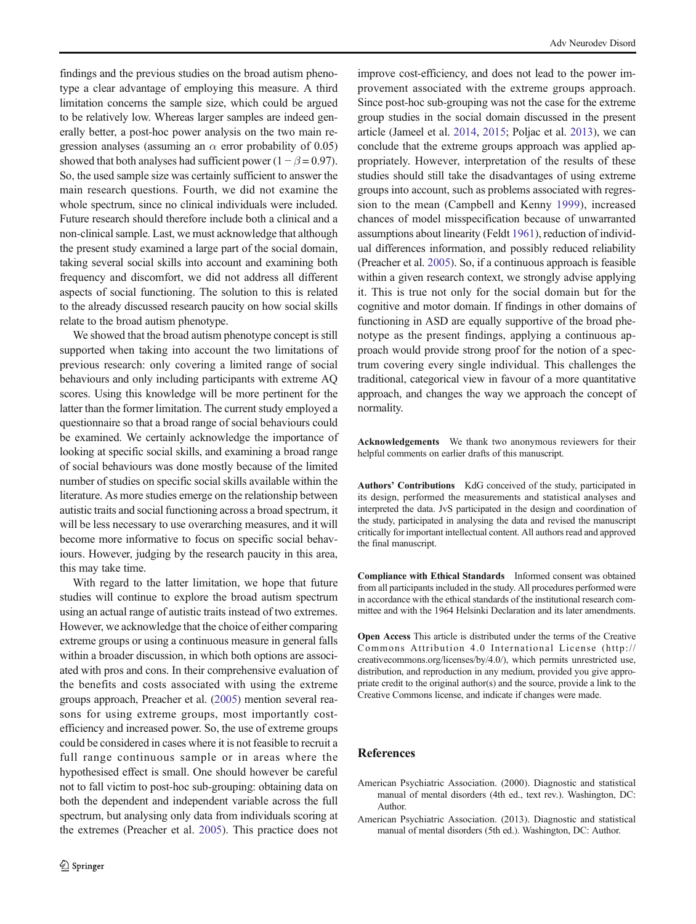<span id="page-9-0"></span>findings and the previous studies on the broad autism phenotype a clear advantage of employing this measure. A third limitation concerns the sample size, which could be argued to be relatively low. Whereas larger samples are indeed generally better, a post-hoc power analysis on the two main regression analyses (assuming an  $\alpha$  error probability of 0.05) showed that both analyses had sufficient power ( $1 - \beta = 0.97$ ). So, the used sample size was certainly sufficient to answer the main research questions. Fourth, we did not examine the whole spectrum, since no clinical individuals were included. Future research should therefore include both a clinical and a non-clinical sample. Last, we must acknowledge that although the present study examined a large part of the social domain, taking several social skills into account and examining both frequency and discomfort, we did not address all different aspects of social functioning. The solution to this is related to the already discussed research paucity on how social skills relate to the broad autism phenotype.

We showed that the broad autism phenotype concept is still supported when taking into account the two limitations of previous research: only covering a limited range of social behaviours and only including participants with extreme AQ scores. Using this knowledge will be more pertinent for the latter than the former limitation. The current study employed a questionnaire so that a broad range of social behaviours could be examined. We certainly acknowledge the importance of looking at specific social skills, and examining a broad range of social behaviours was done mostly because of the limited number of studies on specific social skills available within the literature. As more studies emerge on the relationship between autistic traits and social functioning across a broad spectrum, it will be less necessary to use overarching measures, and it will become more informative to focus on specific social behaviours. However, judging by the research paucity in this area, this may take time.

With regard to the latter limitation, we hope that future studies will continue to explore the broad autism spectrum using an actual range of autistic traits instead of two extremes. However, we acknowledge that the choice of either comparing extreme groups or using a continuous measure in general falls within a broader discussion, in which both options are associated with pros and cons. In their comprehensive evaluation of the benefits and costs associated with using the extreme groups approach, Preacher et al. ([2005](#page-10-0)) mention several reasons for using extreme groups, most importantly costefficiency and increased power. So, the use of extreme groups could be considered in cases where it is not feasible to recruit a full range continuous sample or in areas where the hypothesised effect is small. One should however be careful not to fall victim to post-hoc sub-grouping: obtaining data on both the dependent and independent variable across the full spectrum, but analysing only data from individuals scoring at the extremes (Preacher et al. [2005\)](#page-10-0). This practice does not

improve cost-efficiency, and does not lead to the power improvement associated with the extreme groups approach. Since post-hoc sub-grouping was not the case for the extreme group studies in the social domain discussed in the present article (Jameel et al. [2014,](#page-10-0) [2015;](#page-10-0) Poljac et al. [2013\)](#page-10-0), we can conclude that the extreme groups approach was applied appropriately. However, interpretation of the results of these studies should still take the disadvantages of using extreme groups into account, such as problems associated with regression to the mean (Campbell and Kenny [1999\)](#page-10-0), increased chances of model misspecification because of unwarranted assumptions about linearity (Feldt [1961\)](#page-10-0), reduction of individual differences information, and possibly reduced reliability (Preacher et al. [2005\)](#page-10-0). So, if a continuous approach is feasible within a given research context, we strongly advise applying it. This is true not only for the social domain but for the cognitive and motor domain. If findings in other domains of functioning in ASD are equally supportive of the broad phenotype as the present findings, applying a continuous approach would provide strong proof for the notion of a spectrum covering every single individual. This challenges the traditional, categorical view in favour of a more quantitative approach, and changes the way we approach the concept of normality.

Acknowledgements We thank two anonymous reviewers for their helpful comments on earlier drafts of this manuscript.

Authors' Contributions KdG conceived of the study, participated in its design, performed the measurements and statistical analyses and interpreted the data. JvS participated in the design and coordination of the study, participated in analysing the data and revised the manuscript critically for important intellectual content. All authors read and approved the final manuscript.

Compliance with Ethical Standards Informed consent was obtained from all participants included in the study. All procedures performed were in accordance with the ethical standards of the institutional research committee and with the 1964 Helsinki Declaration and its later amendments.

Open Access This article is distributed under the terms of the Creative Commons Attribution 4.0 International License (http:// creativecommons.org/licenses/by/4.0/), which permits unrestricted use, distribution, and reproduction in any medium, provided you give appropriate credit to the original author(s) and the source, provide a link to the Creative Commons license, and indicate if changes were made.

## References

- American Psychiatric Association. (2000). Diagnostic and statistical manual of mental disorders (4th ed., text rev.). Washington, DC: Author.
- American Psychiatric Association. (2013). Diagnostic and statistical manual of mental disorders (5th ed.). Washington, DC: Author.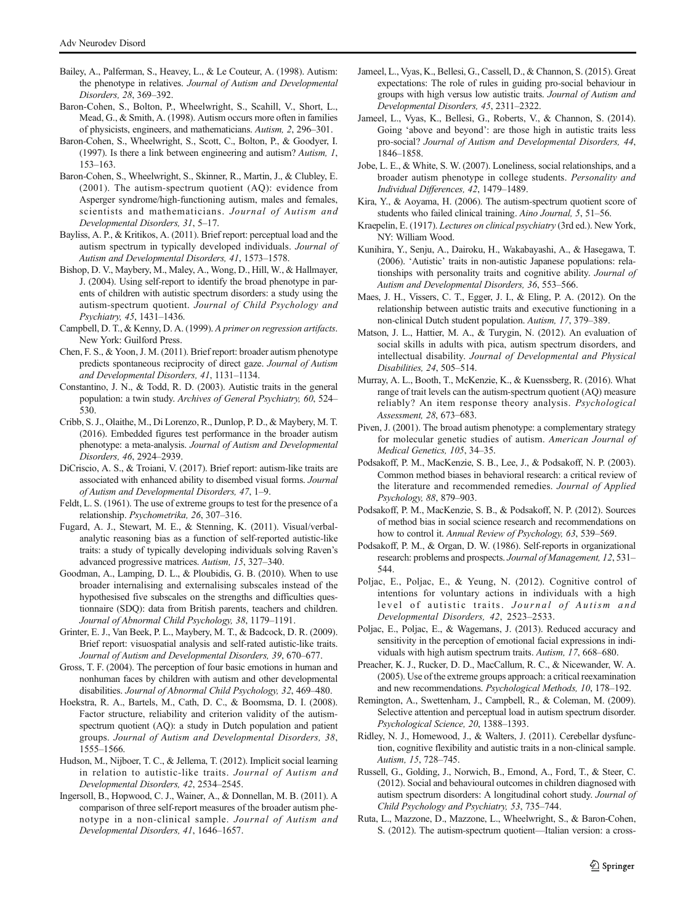- <span id="page-10-0"></span>Bailey, A., Palferman, S., Heavey, L., & Le Couteur, A. (1998). Autism: the phenotype in relatives. Journal of Autism and Developmental Disorders, 28, 369–392.
- Baron-Cohen, S., Bolton, P., Wheelwright, S., Scahill, V., Short, L., Mead, G., & Smith, A. (1998). Autism occurs more often in families of physicists, engineers, and mathematicians. Autism, 2, 296–301.
- Baron-Cohen, S., Wheelwright, S., Scott, C., Bolton, P., & Goodyer, I. (1997). Is there a link between engineering and autism? Autism, 1, 153–163.
- Baron-Cohen, S., Wheelwright, S., Skinner, R., Martin, J., & Clubley, E. (2001). The autism-spectrum quotient (AQ): evidence from Asperger syndrome/high-functioning autism, males and females, scientists and mathematicians. Journal of Autism and Developmental Disorders, 31, 5–17.
- Bayliss, A. P., & Kritikos, A. (2011). Brief report: perceptual load and the autism spectrum in typically developed individuals. Journal of Autism and Developmental Disorders, 41, 1573–1578.
- Bishop, D. V., Maybery, M., Maley, A., Wong, D., Hill, W., & Hallmayer, J. (2004). Using self-report to identify the broad phenotype in parents of children with autistic spectrum disorders: a study using the autism-spectrum quotient. Journal of Child Psychology and Psychiatry, 45, 1431–1436.
- Campbell, D. T., & Kenny, D. A. (1999). A primer on regression artifacts. New York: Guilford Press.
- Chen, F. S., & Yoon, J. M. (2011). Brief report: broader autism phenotype predicts spontaneous reciprocity of direct gaze. Journal of Autism and Developmental Disorders, 41, 1131–1134.
- Constantino, J. N., & Todd, R. D. (2003). Autistic traits in the general population: a twin study. Archives of General Psychiatry, 60, 524– 530.
- Cribb, S. J., Olaithe, M., Di Lorenzo, R., Dunlop, P. D., & Maybery, M. T. (2016). Embedded figures test performance in the broader autism phenotype: a meta-analysis. Journal of Autism and Developmental Disorders, 46, 2924–2939.
- DiCriscio, A. S., & Troiani, V. (2017). Brief report: autism-like traits are associated with enhanced ability to disembed visual forms. Journal of Autism and Developmental Disorders, 47, 1–9.
- Feldt, L. S. (1961). The use of extreme groups to test for the presence of a relationship. Psychometrika, 26, 307–316.
- Fugard, A. J., Stewart, M. E., & Stenning, K. (2011). Visual/verbalanalytic reasoning bias as a function of self-reported autistic-like traits: a study of typically developing individuals solving Raven's advanced progressive matrices. Autism, 15, 327–340.
- Goodman, A., Lamping, D. L., & Ploubidis, G. B. (2010). When to use broader internalising and externalising subscales instead of the hypothesised five subscales on the strengths and difficulties questionnaire (SDQ): data from British parents, teachers and children. Journal of Abnormal Child Psychology, 38, 1179–1191.
- Grinter, E. J., Van Beek, P. L., Maybery, M. T., & Badcock, D. R. (2009). Brief report: visuospatial analysis and self-rated autistic-like traits. Journal of Autism and Developmental Disorders, 39, 670–677.
- Gross, T. F. (2004). The perception of four basic emotions in human and nonhuman faces by children with autism and other developmental disabilities. Journal of Abnormal Child Psychology, 32, 469–480.
- Hoekstra, R. A., Bartels, M., Cath, D. C., & Boomsma, D. I. (2008). Factor structure, reliability and criterion validity of the autismspectrum quotient (AQ): a study in Dutch population and patient groups. Journal of Autism and Developmental Disorders, 38, 1555–1566.
- Hudson, M., Nijboer, T. C., & Jellema, T. (2012). Implicit social learning in relation to autistic-like traits. Journal of Autism and Developmental Disorders, 42, 2534–2545.
- Ingersoll, B., Hopwood, C. J., Wainer, A., & Donnellan, M. B. (2011). A comparison of three self-report measures of the broader autism phenotype in a non-clinical sample. Journal of Autism and Developmental Disorders, 41, 1646–1657.
- Jameel, L., Vyas, K., Bellesi, G., Cassell, D., & Channon, S. (2015). Great expectations: The role of rules in guiding pro-social behaviour in groups with high versus low autistic traits. Journal of Autism and Developmental Disorders, 45, 2311–2322.
- Jameel, L., Vyas, K., Bellesi, G., Roberts, V., & Channon, S. (2014). Going 'above and beyond': are those high in autistic traits less pro-social? Journal of Autism and Developmental Disorders, 44, 1846–1858.
- Jobe, L. E., & White, S. W. (2007). Loneliness, social relationships, and a broader autism phenotype in college students. Personality and Individual Differences, 42, 1479–1489.
- Kira, Y., & Aoyama, H. (2006). The autism-spectrum quotient score of students who failed clinical training. Aino Journal, 5, 51–56.
- Kraepelin, E. (1917). Lectures on clinical psychiatry (3rd ed.). New York, NY: William Wood.
- Kunihira, Y., Senju, A., Dairoku, H., Wakabayashi, A., & Hasegawa, T. (2006). 'Autistic' traits in non-autistic Japanese populations: relationships with personality traits and cognitive ability. Journal of Autism and Developmental Disorders, 36, 553–566.
- Maes, J. H., Vissers, C. T., Egger, J. I., & Eling, P. A. (2012). On the relationship between autistic traits and executive functioning in a non-clinical Dutch student population. Autism, 17, 379–389.
- Matson, J. L., Hattier, M. A., & Turygin, N. (2012). An evaluation of social skills in adults with pica, autism spectrum disorders, and intellectual disability. Journal of Developmental and Physical Disabilities, 24, 505–514.
- Murray, A. L., Booth, T., McKenzie, K., & Kuenssberg, R. (2016). What range of trait levels can the autism-spectrum quotient (AQ) measure reliably? An item response theory analysis. Psychological Assessment, 28, 673–683.
- Piven, J. (2001). The broad autism phenotype: a complementary strategy for molecular genetic studies of autism. American Journal of Medical Genetics, 105, 34–35.
- Podsakoff, P. M., MacKenzie, S. B., Lee, J., & Podsakoff, N. P. (2003). Common method biases in behavioral research: a critical review of the literature and recommended remedies. Journal of Applied Psychology, 88, 879–903.
- Podsakoff, P. M., MacKenzie, S. B., & Podsakoff, N. P. (2012). Sources of method bias in social science research and recommendations on how to control it. Annual Review of Psychology, 63, 539-569.
- Podsakoff, P. M., & Organ, D. W. (1986). Self-reports in organizational research: problems and prospects. Journal of Management, 12, 531– 544.
- Poljac, E., Poljac, E., & Yeung, N. (2012). Cognitive control of intentions for voluntary actions in individuals with a high level of autistic traits. Journal of Autism and Developmental Disorders, 42, 2523–2533.
- Poljac, E., Poljac, E., & Wagemans, J. (2013). Reduced accuracy and sensitivity in the perception of emotional facial expressions in individuals with high autism spectrum traits. Autism, 17, 668–680.
- Preacher, K. J., Rucker, D. D., MacCallum, R. C., & Nicewander, W. A. (2005). Use of the extreme groups approach: a critical reexamination and new recommendations. Psychological Methods, 10, 178–192.
- Remington, A., Swettenham, J., Campbell, R., & Coleman, M. (2009). Selective attention and perceptual load in autism spectrum disorder. Psychological Science, 20, 1388–1393.
- Ridley, N. J., Homewood, J., & Walters, J. (2011). Cerebellar dysfunction, cognitive flexibility and autistic traits in a non-clinical sample. Autism, 15, 728–745.
- Russell, G., Golding, J., Norwich, B., Emond, A., Ford, T., & Steer, C. (2012). Social and behavioural outcomes in children diagnosed with autism spectrum disorders: A longitudinal cohort study. Journal of Child Psychology and Psychiatry, 53, 735–744.
- Ruta, L., Mazzone, D., Mazzone, L., Wheelwright, S., & Baron-Cohen, S. (2012). The autism-spectrum quotient—Italian version: a cross-